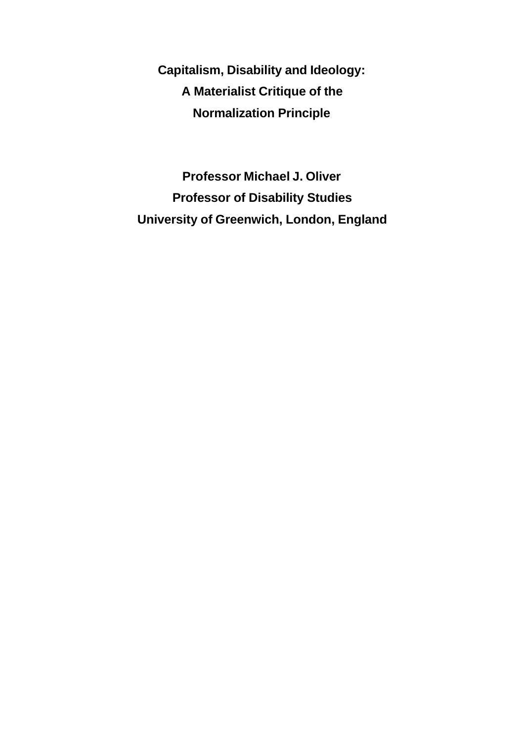**Capitalism, Disability and Ideology: A Materialist Critique of the Normalization Principle**

**Professor Michael J. Oliver Professor of Disability Studies University of Greenwich, London, England**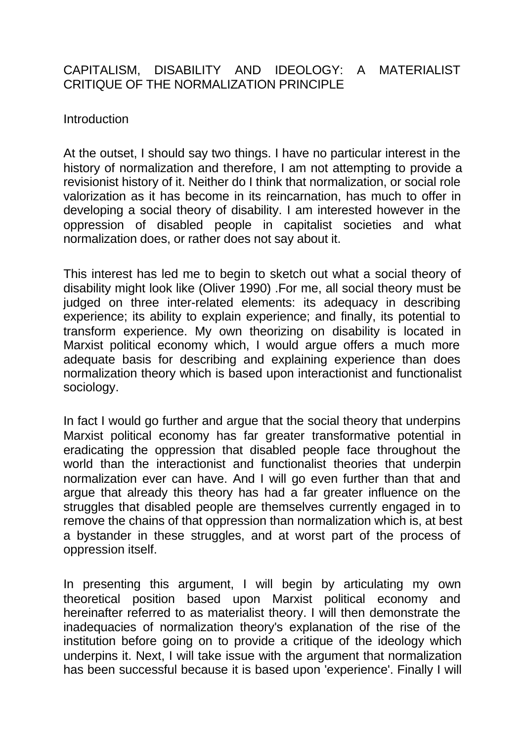## CAPITALISM, DISABILITY AND IDEOLOGY: A MATERIALIST CRITIQUE OF THE NORMALIZATION PRINCIPLE

#### **Introduction**

At the outset, I should say two things. I have no particular interest in the history of normalization and therefore, I am not attempting to provide a revisionist history of it. Neither do I think that normalization, or social role valorization as it has become in its reincarnation, has much to offer in developing a social theory of disability. I am interested however in the oppression of disabled people in capitalist societies and what normalization does, or rather does not say about it.

This interest has led me to begin to sketch out what a social theory of disability might look like (Oliver 1990) .For me, all social theory must be judged on three inter-related elements: its adequacy in describing experience; its ability to explain experience; and finally, its potential to transform experience. My own theorizing on disability is located in Marxist political economy which, I would argue offers a much more adequate basis for describing and explaining experience than does normalization theory which is based upon interactionist and functionalist sociology.

In fact I would go further and argue that the social theory that underpins Marxist political economy has far greater transformative potential in eradicating the oppression that disabled people face throughout the world than the interactionist and functionalist theories that underpin normalization ever can have. And I will go even further than that and argue that already this theory has had a far greater influence on the struggles that disabled people are themselves currently engaged in to remove the chains of that oppression than normalization which is, at best a bystander in these struggles, and at worst part of the process of oppression itself.

In presenting this argument, I will begin by articulating my own theoretical position based upon Marxist political economy and hereinafter referred to as materialist theory. I will then demonstrate the inadequacies of normalization theory's explanation of the rise of the institution before going on to provide a critique of the ideology which underpins it. Next, I will take issue with the argument that normalization has been successful because it is based upon 'experience'. Finally I will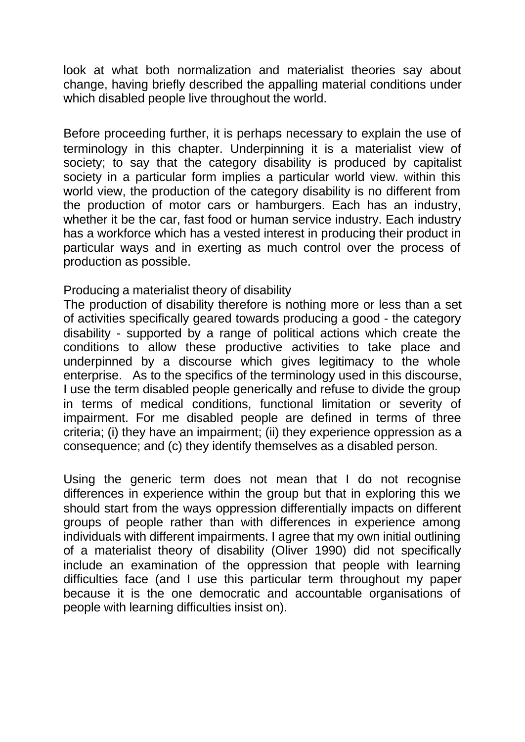look at what both normalization and materialist theories say about change, having briefly described the appalling material conditions under which disabled people live throughout the world.

Before proceeding further, it is perhaps necessary to explain the use of terminology in this chapter. Underpinning it is a materialist view of society; to say that the category disability is produced by capitalist society in a particular form implies a particular world view. within this world view, the production of the category disability is no different from the production of motor cars or hamburgers. Each has an industry, whether it be the car, fast food or human service industry. Each industry has a workforce which has a vested interest in producing their product in particular ways and in exerting as much control over the process of production as possible.

### Producing a materialist theory of disability

The production of disability therefore is nothing more or less than a set of activities specifically geared towards producing a good - the category disability - supported by a range of political actions which create the conditions to allow these productive activities to take place and underpinned by a discourse which gives legitimacy to the whole enterprise. As to the specifics of the terminology used in this discourse, I use the term disabled people generically and refuse to divide the group in terms of medical conditions, functional limitation or severity of impairment. For me disabled people are defined in terms of three criteria; (i) they have an impairment; (ii) they experience oppression as a consequence; and (c) they identify themselves as a disabled person.

Using the generic term does not mean that I do not recognise differences in experience within the group but that in exploring this we should start from the ways oppression differentially impacts on different groups of people rather than with differences in experience among individuals with different impairments. I agree that my own initial outlining of a materialist theory of disability (Oliver 1990) did not specifically include an examination of the oppression that people with learning difficulties face (and I use this particular term throughout my paper because it is the one democratic and accountable organisations of people with learning difficulties insist on).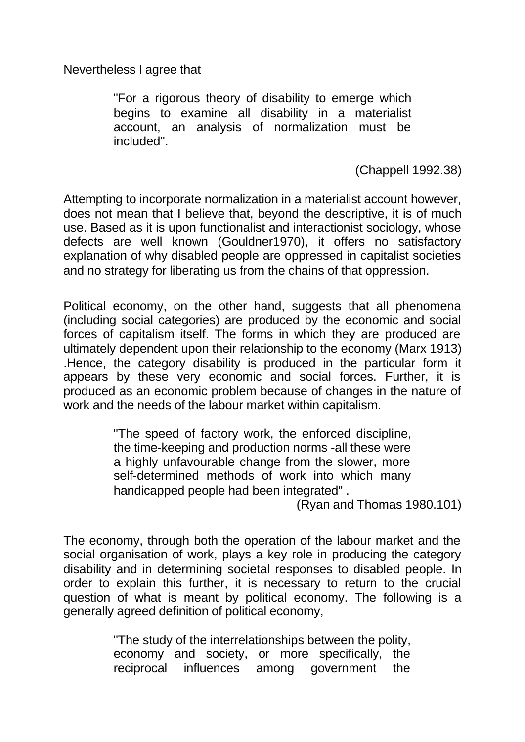Nevertheless I agree that

"For a rigorous theory of disability to emerge which begins to examine all disability in a materialist account, an analysis of normalization must be included".

(Chappell 1992.38)

Attempting to incorporate normalization in a materialist account however, does not mean that I believe that, beyond the descriptive, it is of much use. Based as it is upon functionalist and interactionist sociology, whose defects are well known (Gouldner1970), it offers no satisfactory explanation of why disabled people are oppressed in capitalist societies and no strategy for liberating us from the chains of that oppression.

Political economy, on the other hand, suggests that all phenomena (including social categories) are produced by the economic and social forces of capitalism itself. The forms in which they are produced are ultimately dependent upon their relationship to the economy (Marx 1913) .Hence, the category disability is produced in the particular form it appears by these very economic and social forces. Further, it is produced as an economic problem because of changes in the nature of work and the needs of the labour market within capitalism.

> "The speed of factory work, the enforced discipline, the time-keeping and production norms -all these were a highly unfavourable change from the slower, more self-determined methods of work into which many handicapped people had been integrated" .

> > (Ryan and Thomas 1980.101)

The economy, through both the operation of the labour market and the social organisation of work, plays a key role in producing the category disability and in determining societal responses to disabled people. In order to explain this further, it is necessary to return to the crucial question of what is meant by political economy. The following is a generally agreed definition of political economy,

> "The study of the interrelationships between the polity, economy and society, or more specifically, the reciprocal influences among government the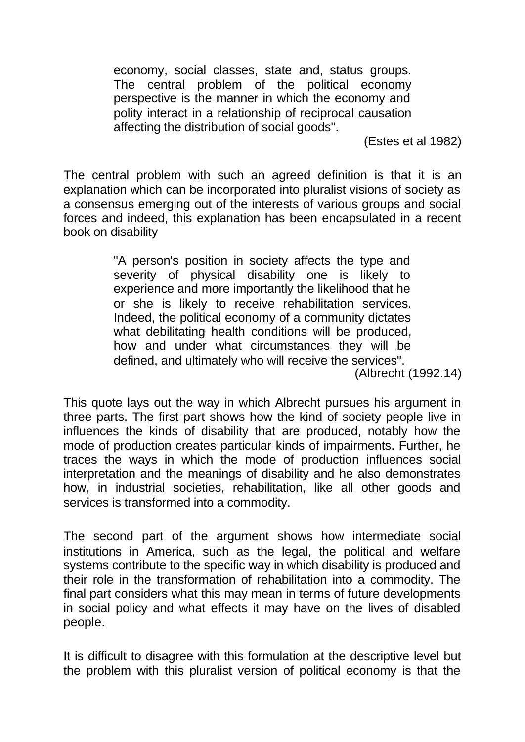economy, social classes, state and, status groups. The central problem of the political economy perspective is the manner in which the economy and polity interact in a relationship of reciprocal causation affecting the distribution of social goods".

(Estes et al 1982)

The central problem with such an agreed definition is that it is an explanation which can be incorporated into pluralist visions of society as a consensus emerging out of the interests of various groups and social forces and indeed, this explanation has been encapsulated in a recent book on disability

> "A person's position in society affects the type and severity of physical disability one is likely to experience and more importantly the likelihood that he or she is likely to receive rehabilitation services. Indeed, the political economy of a community dictates what debilitating health conditions will be produced, how and under what circumstances they will be defined, and ultimately who will receive the services".

(Albrecht (1992.14)

This quote lays out the way in which Albrecht pursues his argument in three parts. The first part shows how the kind of society people live in influences the kinds of disability that are produced, notably how the mode of production creates particular kinds of impairments. Further, he traces the ways in which the mode of production influences social interpretation and the meanings of disability and he also demonstrates how, in industrial societies, rehabilitation, like all other goods and services is transformed into a commodity.

The second part of the argument shows how intermediate social institutions in America, such as the legal, the political and welfare systems contribute to the specific way in which disability is produced and their role in the transformation of rehabilitation into a commodity. The final part considers what this may mean in terms of future developments in social policy and what effects it may have on the lives of disabled people.

It is difficult to disagree with this formulation at the descriptive level but the problem with this pluralist version of political economy is that the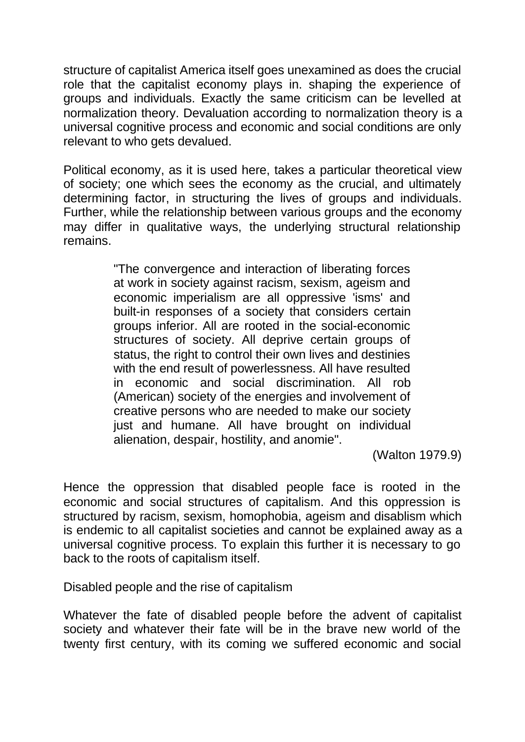structure of capitalist America itself goes unexamined as does the crucial role that the capitalist economy plays in. shaping the experience of groups and individuals. Exactly the same criticism can be levelled at normalization theory. Devaluation according to normalization theory is a universal cognitive process and economic and social conditions are only relevant to who gets devalued.

Political economy, as it is used here, takes a particular theoretical view of society; one which sees the economy as the crucial, and ultimately determining factor, in structuring the lives of groups and individuals. Further, while the relationship between various groups and the economy may differ in qualitative ways, the underlying structural relationship remains.

> "The convergence and interaction of liberating forces at work in society against racism, sexism, ageism and economic imperialism are all oppressive 'isms' and built-in responses of a society that considers certain groups inferior. All are rooted in the social-economic structures of society. All deprive certain groups of status, the right to control their own lives and destinies with the end result of powerlessness. All have resulted in economic and social discrimination. All rob (American) society of the energies and involvement of creative persons who are needed to make our society just and humane. All have brought on individual alienation, despair, hostility, and anomie".

> > (Walton 1979.9)

Hence the oppression that disabled people face is rooted in the economic and social structures of capitalism. And this oppression is structured by racism, sexism, homophobia, ageism and disablism which is endemic to all capitalist societies and cannot be explained away as a universal cognitive process. To explain this further it is necessary to go back to the roots of capitalism itself.

Disabled people and the rise of capitalism

Whatever the fate of disabled people before the advent of capitalist society and whatever their fate will be in the brave new world of the twenty first century, with its coming we suffered economic and social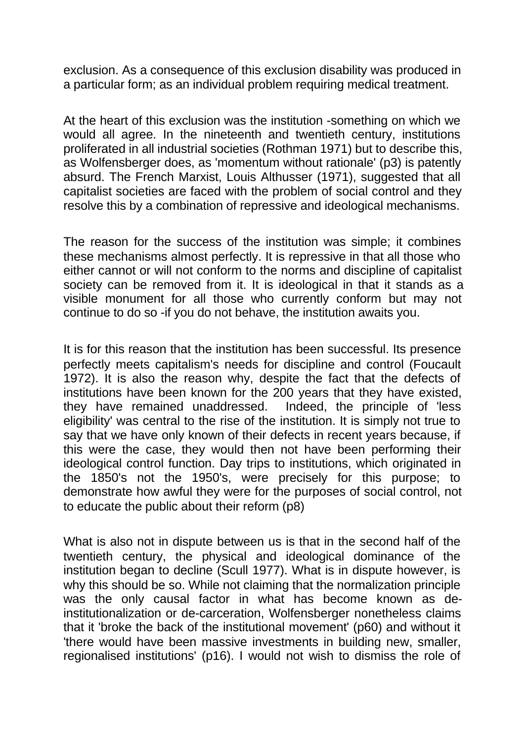exclusion. As a consequence of this exclusion disability was produced in a particular form; as an individual problem requiring medical treatment.

At the heart of this exclusion was the institution -something on which we would all agree. In the nineteenth and twentieth century, institutions proliferated in all industrial societies (Rothman 1971) but to describe this, as Wolfensberger does, as 'momentum without rationale' (p3) is patently absurd. The French Marxist, Louis Althusser (1971), suggested that all capitalist societies are faced with the problem of social control and they resolve this by a combination of repressive and ideological mechanisms.

The reason for the success of the institution was simple; it combines these mechanisms almost perfectly. It is repressive in that all those who either cannot or will not conform to the norms and discipline of capitalist society can be removed from it. It is ideological in that it stands as a visible monument for all those who currently conform but may not continue to do so -if you do not behave, the institution awaits you.

It is for this reason that the institution has been successful. Its presence perfectly meets capitalism's needs for discipline and control (Foucault 1972). It is also the reason why, despite the fact that the defects of institutions have been known for the 200 years that they have existed, they have remained unaddressed. Indeed, the principle of 'less eligibility' was central to the rise of the institution. It is simply not true to say that we have only known of their defects in recent years because, if this were the case, they would then not have been performing their ideological control function. Day trips to institutions, which originated in the 1850's not the 1950's, were precisely for this purpose; to demonstrate how awful they were for the purposes of social control, not to educate the public about their reform (p8)

What is also not in dispute between us is that in the second half of the twentieth century, the physical and ideological dominance of the institution began to decline (Scull 1977). What is in dispute however, is why this should be so. While not claiming that the normalization principle was the only causal factor in what has become known as deinstitutionalization or de-carceration, Wolfensberger nonetheless claims that it 'broke the back of the institutional movement' (p60) and without it 'there would have been massive investments in building new, smaller, regionalised institutions' (p16). I would not wish to dismiss the role of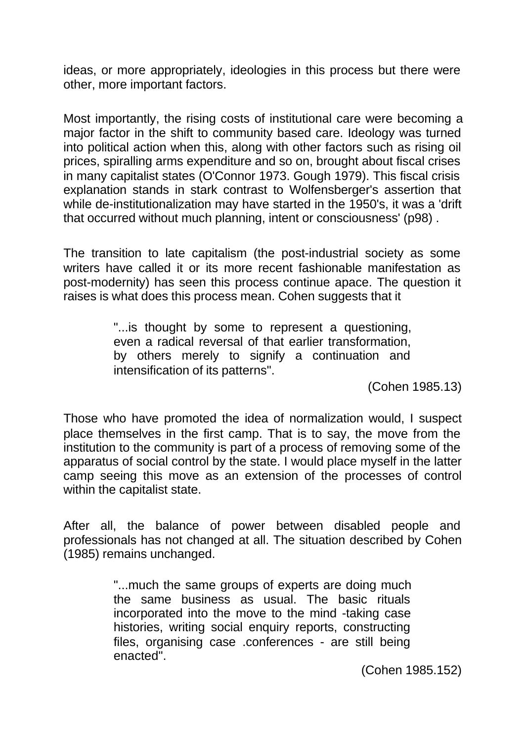ideas, or more appropriately, ideologies in this process but there were other, more important factors.

Most importantly, the rising costs of institutional care were becoming a major factor in the shift to community based care. Ideology was turned into political action when this, along with other factors such as rising oil prices, spiralling arms expenditure and so on, brought about fiscal crises in many capitalist states (O'Connor 1973. Gough 1979). This fiscal crisis explanation stands in stark contrast to Wolfensberger's assertion that while de-institutionalization may have started in the 1950's, it was a 'drift that occurred without much planning, intent or consciousness' (p98) .

The transition to late capitalism (the post-industrial society as some writers have called it or its more recent fashionable manifestation as post-modernity) has seen this process continue apace. The question it raises is what does this process mean. Cohen suggests that it

> "...is thought by some to represent a questioning, even a radical reversal of that earlier transformation, by others merely to signify a continuation and intensification of its patterns".

> > (Cohen 1985.13)

Those who have promoted the idea of normalization would, I suspect place themselves in the first camp. That is to say, the move from the institution to the community is part of a process of removing some of the apparatus of social control by the state. I would place myself in the latter camp seeing this move as an extension of the processes of control within the capitalist state.

After all, the balance of power between disabled people and professionals has not changed at all. The situation described by Cohen (1985) remains unchanged.

> "...much the same groups of experts are doing much the same business as usual. The basic rituals incorporated into the move to the mind -taking case histories, writing social enquiry reports, constructing files, organising case .conferences - are still being enacted".

> > (Cohen 1985.152)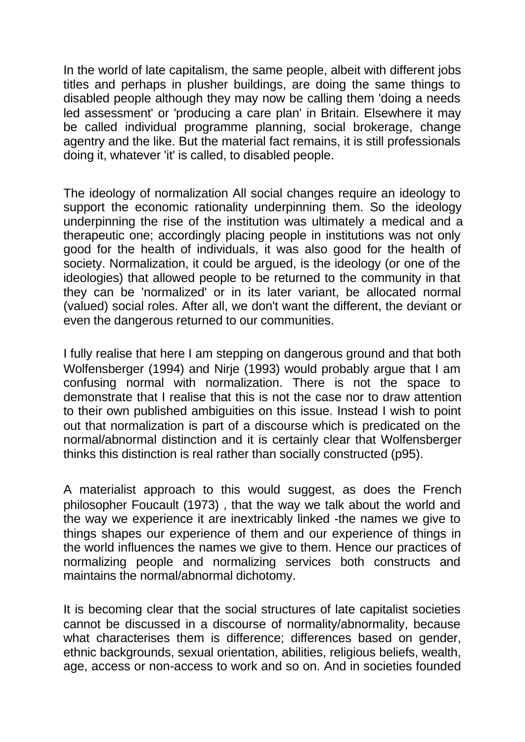In the world of late capitalism, the same people, albeit with different jobs titles and perhaps in plusher buildings, are doing the same things to disabled people although they may now be calling them 'doing a needs led assessment' or 'producing a care plan' in Britain. Elsewhere it may be called individual programme planning, social brokerage, change agentry and the like. But the material fact remains, it is still professionals doing it, whatever 'it' is called, to disabled people.

The ideology of normalization All social changes require an ideology to support the economic rationality underpinning them. So the ideology underpinning the rise of the institution was ultimately a medical and a therapeutic one; accordingly placing people in institutions was not only good for the health of individuals, it was also good for the health of society. Normalization, it could be argued, is the ideology (or one of the ideologies) that allowed people to be returned to the community in that they can be 'normalized' or in its later variant, be allocated normal (valued) social roles. After all, we don't want the different, the deviant or even the dangerous returned to our communities.

I fully realise that here I am stepping on dangerous ground and that both Wolfensberger (1994) and Nirje (1993) would probably argue that I am confusing normal with normalization. There is not the space to demonstrate that I realise that this is not the case nor to draw attention to their own published ambiguities on this issue. Instead I wish to point out that normalization is part of a discourse which is predicated on the normal/abnormal distinction and it is certainly clear that Wolfensberger thinks this distinction is real rather than socially constructed (p95).

A materialist approach to this would suggest, as does the French philosopher Foucault (1973) , that the way we talk about the world and the way we experience it are inextricably linked -the names we give to things shapes our experience of them and our experience of things in the world influences the names we give to them. Hence our practices of normalizing people and normalizing services both constructs and maintains the normal/abnormal dichotomy.

It is becoming clear that the social structures of late capitalist societies cannot be discussed in a discourse of normality/abnormality, because what characterises them is difference; differences based on gender, ethnic backgrounds, sexual orientation, abilities, religious beliefs, wealth, age, access or non-access to work and so on. And in societies founded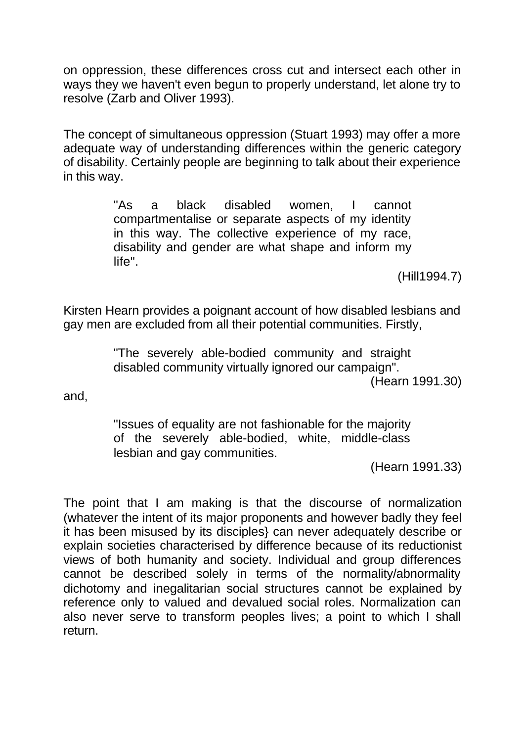on oppression, these differences cross cut and intersect each other in ways they we haven't even begun to properly understand, let alone try to resolve (Zarb and Oliver 1993).

The concept of simultaneous oppression (Stuart 1993) may offer a more adequate way of understanding differences within the generic category of disability. Certainly people are beginning to talk about their experience in this way.

> "As a black disabled women, I cannot compartmentalise or separate aspects of my identity in this way. The collective experience of my race, disability and gender are what shape and inform my life".

> > (Hill1994.7)

Kirsten Hearn provides a poignant account of how disabled lesbians and gay men are excluded from all their potential communities. Firstly,

> "The severely able-bodied community and straight disabled community virtually ignored our campaign". (Hearn 1991.30)

and,

"Issues of equality are not fashionable for the majority of the severely able-bodied, white, middle-class lesbian and gay communities.

(Hearn 1991.33)

The point that I am making is that the discourse of normalization (whatever the intent of its major proponents and however badly they feel it has been misused by its disciples} can never adequately describe or explain societies characterised by difference because of its reductionist views of both humanity and society. Individual and group differences cannot be described solely in terms of the normality/abnormality dichotomy and inegalitarian social structures cannot be explained by reference only to valued and devalued social roles. Normalization can also never serve to transform peoples lives; a point to which I shall return.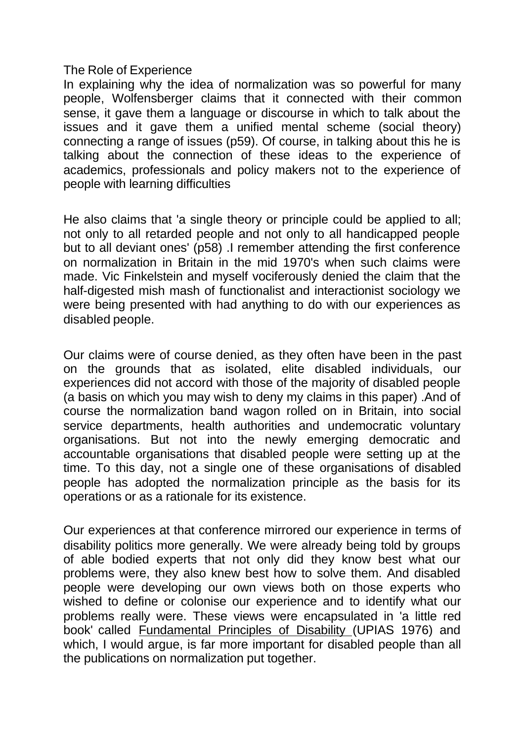#### The Role of Experience

In explaining why the idea of normalization was so powerful for many people, Wolfensberger claims that it connected with their common sense, it gave them a language or discourse in which to talk about the issues and it gave them a unified mental scheme (social theory) connecting a range of issues (p59). Of course, in talking about this he is talking about the connection of these ideas to the experience of academics, professionals and policy makers not to the experience of people with learning difficulties

He also claims that 'a single theory or principle could be applied to all; not only to all retarded people and not only to all handicapped people but to all deviant ones' (p58) .I remember attending the first conference on normalization in Britain in the mid 1970's when such claims were made. Vic Finkelstein and myself vociferously denied the claim that the half-digested mish mash of functionalist and interactionist sociology we were being presented with had anything to do with our experiences as disabled people.

Our claims were of course denied, as they often have been in the past on the grounds that as isolated, elite disabled individuals, our experiences did not accord with those of the majority of disabled people (a basis on which you may wish to deny my claims in this paper) .And of course the normalization band wagon rolled on in Britain, into social service departments, health authorities and undemocratic voluntary organisations. But not into the newly emerging democratic and accountable organisations that disabled people were setting up at the time. To this day, not a single one of these organisations of disabled people has adopted the normalization principle as the basis for its operations or as a rationale for its existence.

Our experiences at that conference mirrored our experience in terms of disability politics more generally. We were already being told by groups of able bodied experts that not only did they know best what our problems were, they also knew best how to solve them. And disabled people were developing our own views both on those experts who wished to define or colonise our experience and to identify what our problems really were. These views were encapsulated in 'a little red book' called Fundamental Principles of Disability (UPIAS 1976) and which, I would argue, is far more important for disabled people than all the publications on normalization put together.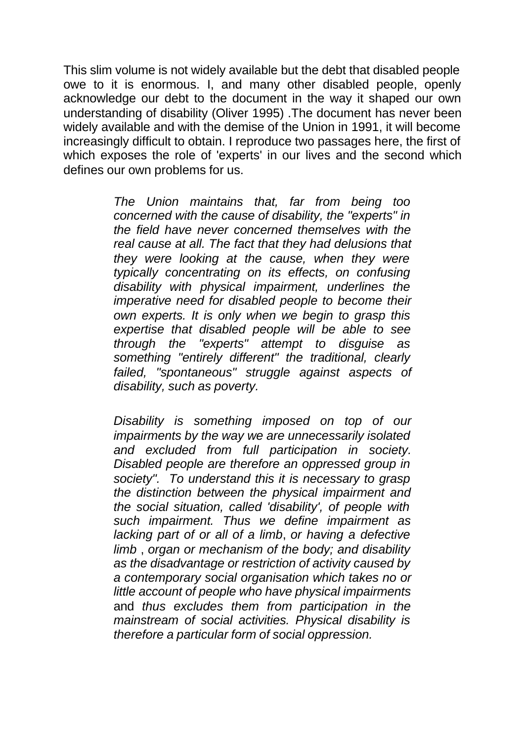This slim volume is not widely available but the debt that disabled people owe to it is enormous. I, and many other disabled people, openly acknowledge our debt to the document in the way it shaped our own understanding of disability (Oliver 1995) .The document has never been widely available and with the demise of the Union in 1991, it will become increasingly difficult to obtain. I reproduce two passages here, the first of which exposes the role of 'experts' in our lives and the second which defines our own problems for us.

> *The Union maintains that, far from being too concerned with the cause of disability, the "experts" in the field have never concerned themselves with the real cause at all. The fact that they had delusions that they were looking at the cause, when they were typically concentrating on its effects, on confusing disability with physical impairment, underlines the imperative need for disabled people to become their own experts. It is only when we begin to grasp this expertise that disabled people will be able to see through the "experts" attempt to disguise as something "entirely different" the traditional, clearly failed, "spontaneous" struggle against aspects of disability, such as poverty.*

> *Disability is something imposed on top of our impairments by the way we are unnecessarily isolated and excluded from full participation in society. Disabled people are therefore an oppressed group in society". To understand this it is necessary to grasp the distinction between the physical impairment and the social situation, called 'disability', of people with such impairment. Thus we define impairment as lacking part of or all of a limb*, *or having a defective limb* , *organ or mechanism of the body; and disability as the disadvantage or restriction of activity caused by a contemporary social organisation which takes no or little account of people who have physical impairments*  and *thus excludes them from participation in the mainstream of social activities. Physical disability is therefore a particular form of social oppression.*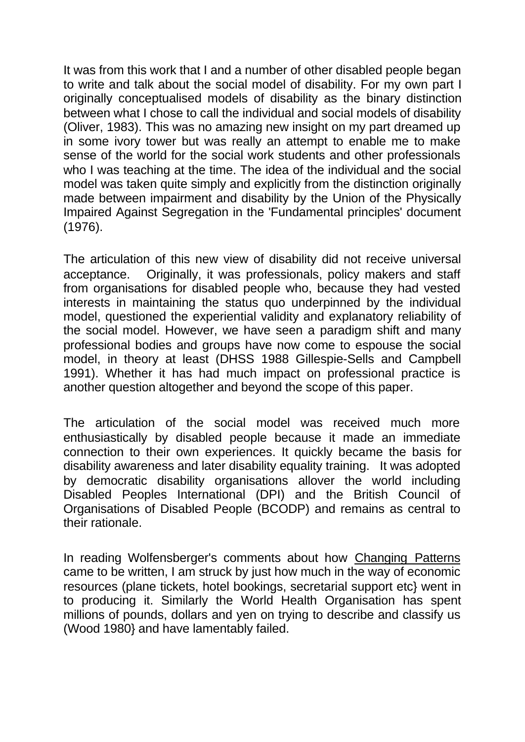It was from this work that I and a number of other disabled people began to write and talk about the social model of disability. For my own part I originally conceptualised models of disability as the binary distinction between what I chose to call the individual and social models of disability (Oliver, 1983). This was no amazing new insight on my part dreamed up in some ivory tower but was really an attempt to enable me to make sense of the world for the social work students and other professionals who I was teaching at the time. The idea of the individual and the social model was taken quite simply and explicitly from the distinction originally made between impairment and disability by the Union of the Physically Impaired Against Segregation in the 'Fundamental principles' document (1976).

The articulation of this new view of disability did not receive universal acceptance. Originally, it was professionals, policy makers and staff from organisations for disabled people who, because they had vested interests in maintaining the status quo underpinned by the individual model, questioned the experiential validity and explanatory reliability of the social model. However, we have seen a paradigm shift and many professional bodies and groups have now come to espouse the social model, in theory at least (DHSS 1988 Gillespie-Sells and Campbell 1991). Whether it has had much impact on professional practice is another question altogether and beyond the scope of this paper.

The articulation of the social model was received much more enthusiastically by disabled people because it made an immediate connection to their own experiences. It quickly became the basis for disability awareness and later disability equality training. It was adopted by democratic disability organisations allover the world including Disabled Peoples International (DPI) and the British Council of Organisations of Disabled People (BCODP) and remains as central to their rationale.

In reading Wolfensberger's comments about how Changing Patterns came to be written, I am struck by just how much in the way of economic resources (plane tickets, hotel bookings, secretarial support etc} went in to producing it. Similarly the World Health Organisation has spent millions of pounds, dollars and yen on trying to describe and classify us (Wood 1980} and have lamentably failed.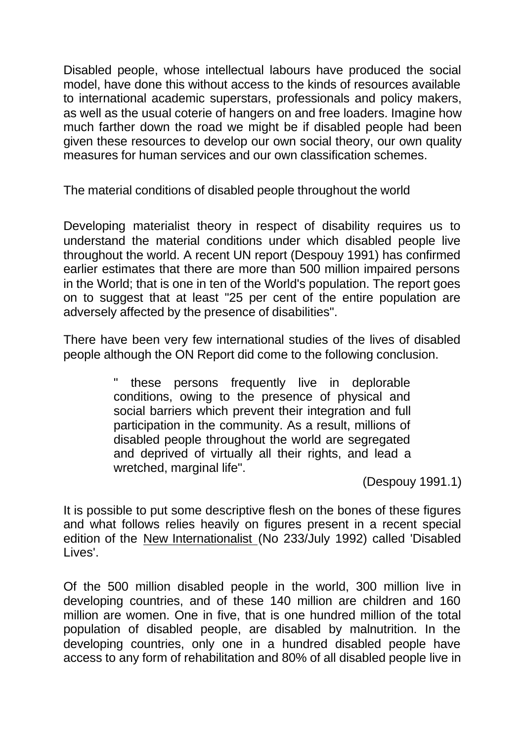Disabled people, whose intellectual labours have produced the social model, have done this without access to the kinds of resources available to international academic superstars, professionals and policy makers, as well as the usual coterie of hangers on and free loaders. Imagine how much farther down the road we might be if disabled people had been given these resources to develop our own social theory, our own quality measures for human services and our own classification schemes.

The material conditions of disabled people throughout the world

Developing materialist theory in respect of disability requires us to understand the material conditions under which disabled people live throughout the world. A recent UN report (Despouy 1991) has confirmed earlier estimates that there are more than 500 million impaired persons in the World; that is one in ten of the World's population. The report goes on to suggest that at least "25 per cent of the entire population are adversely affected by the presence of disabilities".

There have been very few international studies of the lives of disabled people although the ON Report did come to the following conclusion.

> " these persons frequently live in deplorable conditions, owing to the presence of physical and social barriers which prevent their integration and full participation in the community. As a result, millions of disabled people throughout the world are segregated and deprived of virtually all their rights, and lead a wretched, marginal life".

> > (Despouy 1991.1)

It is possible to put some descriptive flesh on the bones of these figures and what follows relies heavily on figures present in a recent special edition of the New Internationalist (No 233/July 1992) called 'Disabled Lives'.

Of the 500 million disabled people in the world, 300 million live in developing countries, and of these 140 million are children and 160 million are women. One in five, that is one hundred million of the total population of disabled people, are disabled by malnutrition. In the developing countries, only one in a hundred disabled people have access to any form of rehabilitation and 80% of all disabled people live in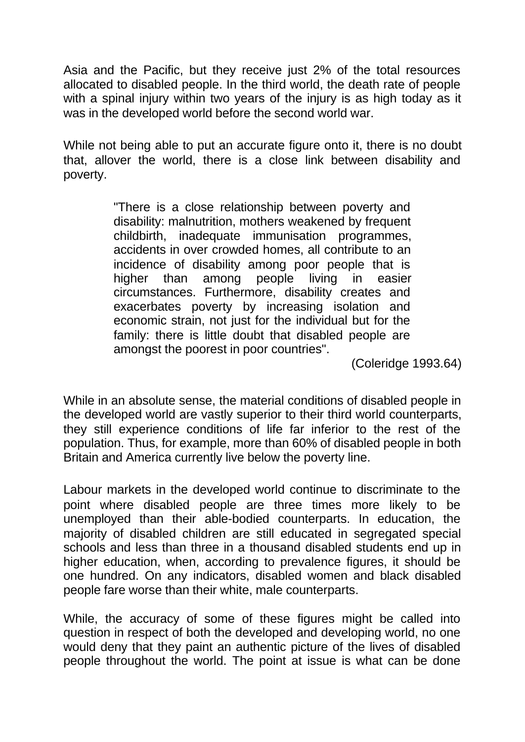Asia and the Pacific, but they receive just 2% of the total resources allocated to disabled people. In the third world, the death rate of people with a spinal injury within two years of the injury is as high today as it was in the developed world before the second world war.

While not being able to put an accurate figure onto it, there is no doubt that, allover the world, there is a close link between disability and poverty.

> "There is a close relationship between poverty and disability: malnutrition, mothers weakened by frequent childbirth, inadequate immunisation programmes, accidents in over crowded homes, all contribute to an incidence of disability among poor people that is higher than among people living in easier circumstances. Furthermore, disability creates and exacerbates poverty by increasing isolation and economic strain, not just for the individual but for the family: there is little doubt that disabled people are amongst the poorest in poor countries".

> > (Coleridge 1993.64)

While in an absolute sense, the material conditions of disabled people in the developed world are vastly superior to their third world counterparts, they still experience conditions of life far inferior to the rest of the population. Thus, for example, more than 60% of disabled people in both Britain and America currently live below the poverty line.

Labour markets in the developed world continue to discriminate to the point where disabled people are three times more likely to be unemployed than their able-bodied counterparts. In education, the majority of disabled children are still educated in segregated special schools and less than three in a thousand disabled students end up in higher education, when, according to prevalence figures, it should be one hundred. On any indicators, disabled women and black disabled people fare worse than their white, male counterparts.

While, the accuracy of some of these figures might be called into question in respect of both the developed and developing world, no one would deny that they paint an authentic picture of the lives of disabled people throughout the world. The point at issue is what can be done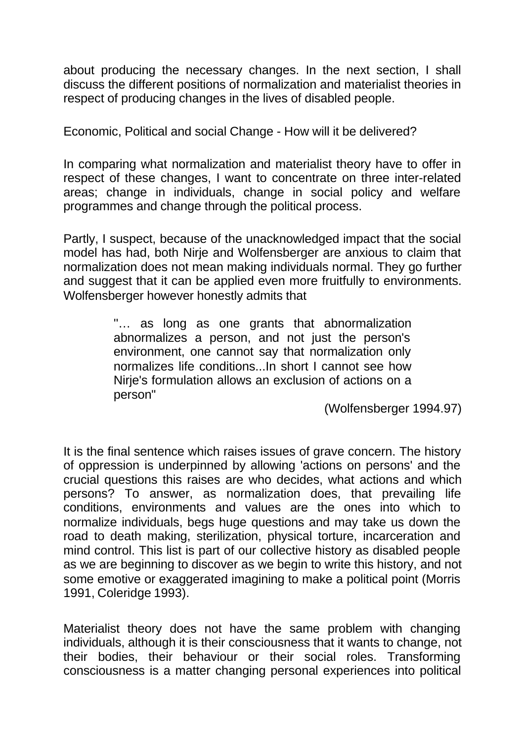about producing the necessary changes. In the next section, I shall discuss the different positions of normalization and materialist theories in respect of producing changes in the lives of disabled people.

Economic, Political and social Change - How will it be delivered?

In comparing what normalization and materialist theory have to offer in respect of these changes, I want to concentrate on three inter-related areas; change in individuals, change in social policy and welfare programmes and change through the political process.

Partly, I suspect, because of the unacknowledged impact that the social model has had, both Nirje and Wolfensberger are anxious to claim that normalization does not mean making individuals normal. They go further and suggest that it can be applied even more fruitfully to environments. Wolfensberger however honestly admits that

> ''… as long as one grants that abnormalization abnormalizes a person, and not just the person's environment, one cannot say that normalization only normalizes life conditions...In short I cannot see how Nirje's formulation allows an exclusion of actions on a person"

> > (Wolfensberger 1994.97)

It is the final sentence which raises issues of grave concern. The history of oppression is underpinned by allowing 'actions on persons' and the crucial questions this raises are who decides, what actions and which persons? To answer, as normalization does, that prevailing life conditions, environments and values are the ones into which to normalize individuals, begs huge questions and may take us down the road to death making, sterilization, physical torture, incarceration and mind control. This list is part of our collective history as disabled people as we are beginning to discover as we begin to write this history, and not some emotive or exaggerated imagining to make a political point (Morris 1991, Coleridge 1993).

Materialist theory does not have the same problem with changing individuals, although it is their consciousness that it wants to change, not their bodies, their behaviour or their social roles. Transforming consciousness is a matter changing personal experiences into political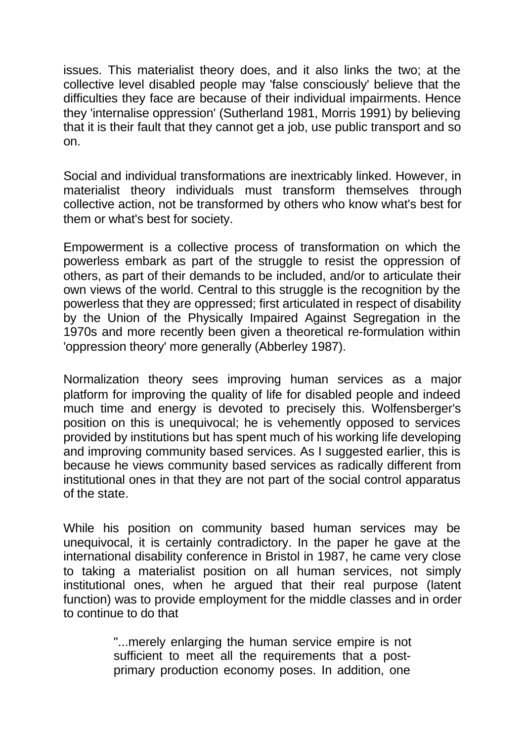issues. This materialist theory does, and it also links the two; at the collective level disabled people may 'false consciously' believe that the difficulties they face are because of their individual impairments. Hence they 'internalise oppression' (Sutherland 1981, Morris 1991) by believing that it is their fault that they cannot get a job, use public transport and so on.

Social and individual transformations are inextricably linked. However, in materialist theory individuals must transform themselves through collective action, not be transformed by others who know what's best for them or what's best for society.

Empowerment is a collective process of transformation on which the powerless embark as part of the struggle to resist the oppression of others, as part of their demands to be included, and/or to articulate their own views of the world. Central to this struggle is the recognition by the powerless that they are oppressed; first articulated in respect of disability by the Union of the Physically Impaired Against Segregation in the 1970s and more recently been given a theoretical re-formulation within 'oppression theory' more generally (Abberley 1987).

Normalization theory sees improving human services as a major platform for improving the quality of life for disabled people and indeed much time and energy is devoted to precisely this. Wolfensberger's position on this is unequivocal; he is vehemently opposed to services provided by institutions but has spent much of his working life developing and improving community based services. As I suggested earlier, this is because he views community based services as radically different from institutional ones in that they are not part of the social control apparatus of the state.

While his position on community based human services may be unequivocal, it is certainly contradictory. In the paper he gave at the international disability conference in Bristol in 1987, he came very close to taking a materialist position on all human services, not simply institutional ones, when he argued that their real purpose (latent function) was to provide employment for the middle classes and in order to continue to do that

> "...merely enlarging the human service empire is not sufficient to meet all the requirements that a postprimary production economy poses. In addition, one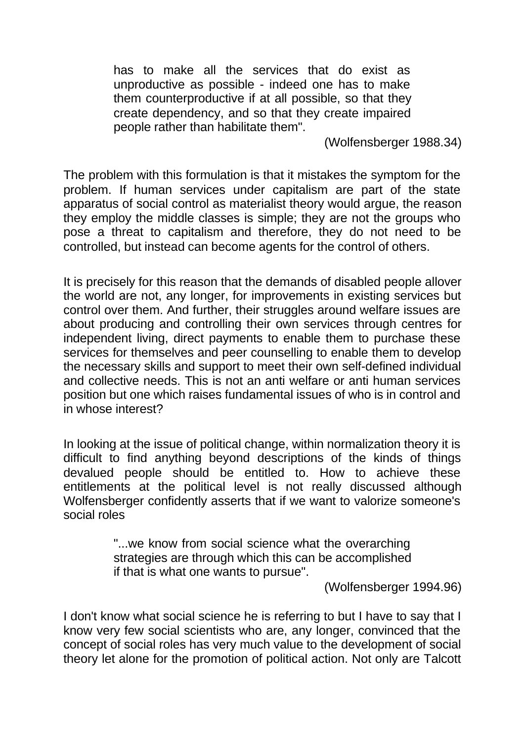has to make all the services that do exist as unproductive as possible - indeed one has to make them counterproductive if at all possible, so that they create dependency, and so that they create impaired people rather than habilitate them".

(Wolfensberger 1988.34)

The problem with this formulation is that it mistakes the symptom for the problem. If human services under capitalism are part of the state apparatus of social control as materialist theory would argue, the reason they employ the middle classes is simple; they are not the groups who pose a threat to capitalism and therefore, they do not need to be controlled, but instead can become agents for the control of others.

It is precisely for this reason that the demands of disabled people allover the world are not, any longer, for improvements in existing services but control over them. And further, their struggles around welfare issues are about producing and controlling their own services through centres for independent living, direct payments to enable them to purchase these services for themselves and peer counselling to enable them to develop the necessary skills and support to meet their own self-defined individual and collective needs. This is not an anti welfare or anti human services position but one which raises fundamental issues of who is in control and in whose interest?

In looking at the issue of political change, within normalization theory it is difficult to find anything beyond descriptions of the kinds of things devalued people should be entitled to. How to achieve these entitlements at the political level is not really discussed although Wolfensberger confidently asserts that if we want to valorize someone's social roles

> "...we know from social science what the overarching strategies are through which this can be accomplished if that is what one wants to pursue".

> > (Wolfensberger 1994.96)

I don't know what social science he is referring to but I have to say that I know very few social scientists who are, any longer, convinced that the concept of social roles has very much value to the development of social theory let alone for the promotion of political action. Not only are Talcott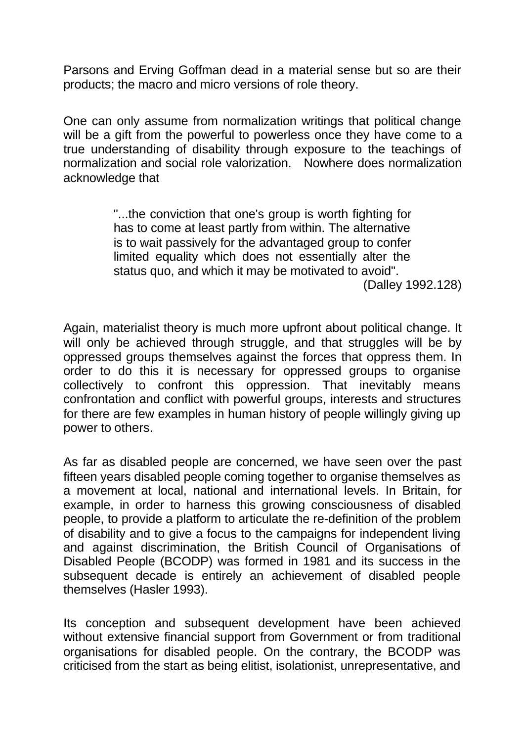Parsons and Erving Goffman dead in a material sense but so are their products; the macro and micro versions of role theory.

One can only assume from normalization writings that political change will be a gift from the powerful to powerless once they have come to a true understanding of disability through exposure to the teachings of normalization and social role valorization. Nowhere does normalization acknowledge that

> "...the conviction that one's group is worth fighting for has to come at least partly from within. The alternative is to wait passively for the advantaged group to confer limited equality which does not essentially alter the status quo, and which it may be motivated to avoid". (Dalley 1992.128)

Again, materialist theory is much more upfront about political change. It will only be achieved through struggle, and that struggles will be by oppressed groups themselves against the forces that oppress them. In order to do this it is necessary for oppressed groups to organise collectively to confront this oppression. That inevitably means confrontation and conflict with powerful groups, interests and structures for there are few examples in human history of people willingly giving up power to others.

As far as disabled people are concerned, we have seen over the past fifteen years disabled people coming together to organise themselves as a movement at local, national and international levels. In Britain, for example, in order to harness this growing consciousness of disabled people, to provide a platform to articulate the re-definition of the problem of disability and to give a focus to the campaigns for independent living and against discrimination, the British Council of Organisations of Disabled People (BCODP) was formed in 1981 and its success in the subsequent decade is entirely an achievement of disabled people themselves (Hasler 1993).

Its conception and subsequent development have been achieved without extensive financial support from Government or from traditional organisations for disabled people. On the contrary, the BCODP was criticised from the start as being elitist, isolationist, unrepresentative, and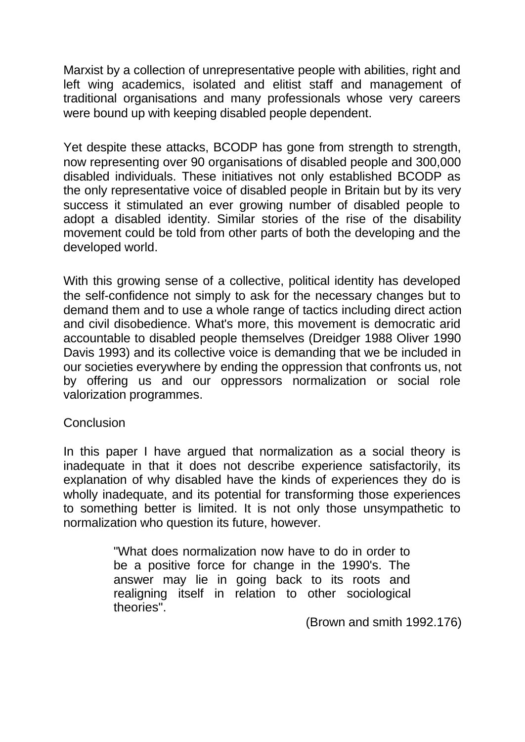Marxist by a collection of unrepresentative people with abilities, right and left wing academics, isolated and elitist staff and management of traditional organisations and many professionals whose very careers were bound up with keeping disabled people dependent.

Yet despite these attacks, BCODP has gone from strength to strength, now representing over 90 organisations of disabled people and 300,000 disabled individuals. These initiatives not only established BCODP as the only representative voice of disabled people in Britain but by its very success it stimulated an ever growing number of disabled people to adopt a disabled identity. Similar stories of the rise of the disability movement could be told from other parts of both the developing and the developed world.

With this growing sense of a collective, political identity has developed the self-confidence not simply to ask for the necessary changes but to demand them and to use a whole range of tactics including direct action and civil disobedience. What's more, this movement is democratic arid accountable to disabled people themselves (Dreidger 1988 Oliver 1990 Davis 1993) and its collective voice is demanding that we be included in our societies everywhere by ending the oppression that confronts us, not by offering us and our oppressors normalization or social role valorization programmes.

#### **Conclusion**

In this paper I have argued that normalization as a social theory is inadequate in that it does not describe experience satisfactorily, its explanation of why disabled have the kinds of experiences they do is wholly inadequate, and its potential for transforming those experiences to something better is limited. It is not only those unsympathetic to normalization who question its future, however.

> "What does normalization now have to do in order to be a positive force for change in the 1990's. The answer may lie in going back to its roots and realigning itself in relation to other sociological theories".

> > (Brown and smith 1992.176)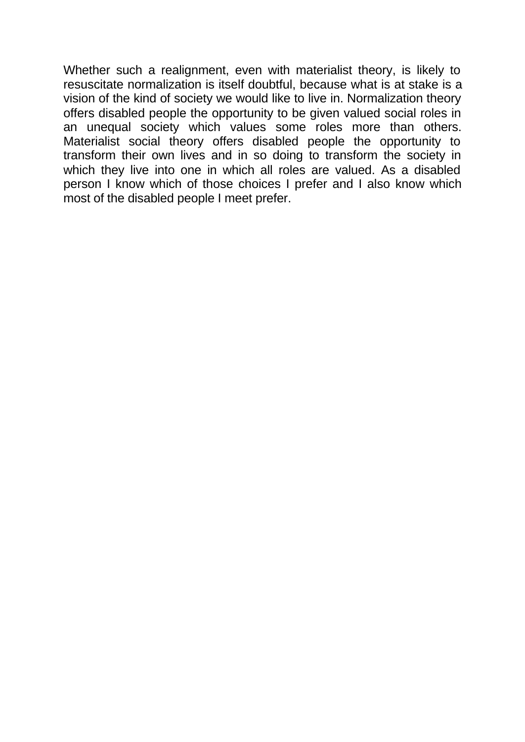Whether such a realignment, even with materialist theory, is likely to resuscitate normalization is itself doubtful, because what is at stake is a vision of the kind of society we would like to live in. Normalization theory offers disabled people the opportunity to be given valued social roles in an unequal society which values some roles more than others. Materialist social theory offers disabled people the opportunity to transform their own lives and in so doing to transform the society in which they live into one in which all roles are valued. As a disabled person I know which of those choices I prefer and I also know which most of the disabled people I meet prefer.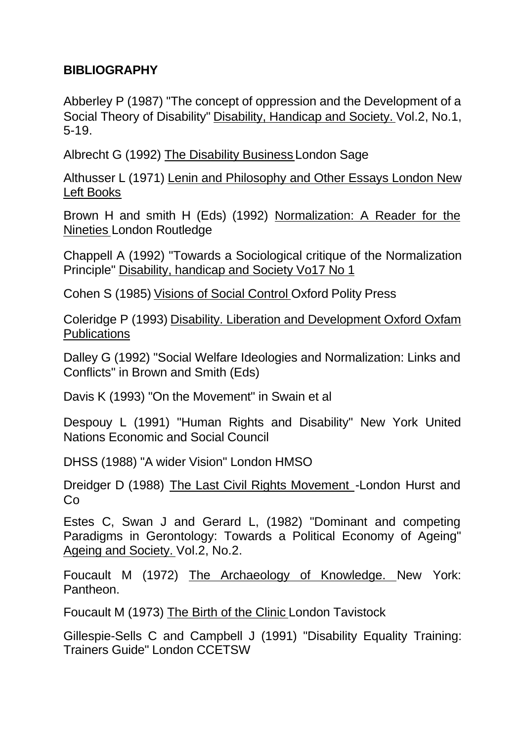# **BIBLIOGRAPHY**

Abberley P (1987) "The concept of oppression and the Development of a Social Theory of Disability" Disability, Handicap and Society. Vol.2, No.1, 5-19.

Albrecht G (1992) The Disability Business London Sage

Althusser L (1971) Lenin and Philosophy and Other Essays London New Left Books

Brown H and smith H (Eds) (1992) Normalization: A Reader for the Nineties London Routledge

Chappell A (1992) "Towards a Sociological critique of the Normalization Principle" Disability, handicap and Society Vo17 No 1

Cohen S (1985) Visions of Social Control Oxford Polity Press

Coleridge P (1993) Disability. Liberation and Development Oxford Oxfam **Publications** 

Dalley G (1992) "Social Welfare Ideologies and Normalization: Links and Conflicts" in Brown and Smith (Eds)

Davis K (1993) "On the Movement" in Swain et al

Despouy L (1991) "Human Rights and Disability" New York United Nations Economic and Social Council

DHSS (1988) "A wider Vision" London HMSO

Dreidger D (1988) The Last Civil Rights Movement -London Hurst and Co

Estes C, Swan J and Gerard L, (1982) "Dominant and competing Paradigms in Gerontology: Towards a Political Economy of Ageing" Ageing and Society. Vol.2, No.2.

Foucault M (1972) The Archaeology of Knowledge. New York: Pantheon.

Foucault M (1973) The Birth of the Clinic London Tavistock

Gillespie-Sells C and Campbell J (1991) "Disability Equality Training: Trainers Guide" London CCETSW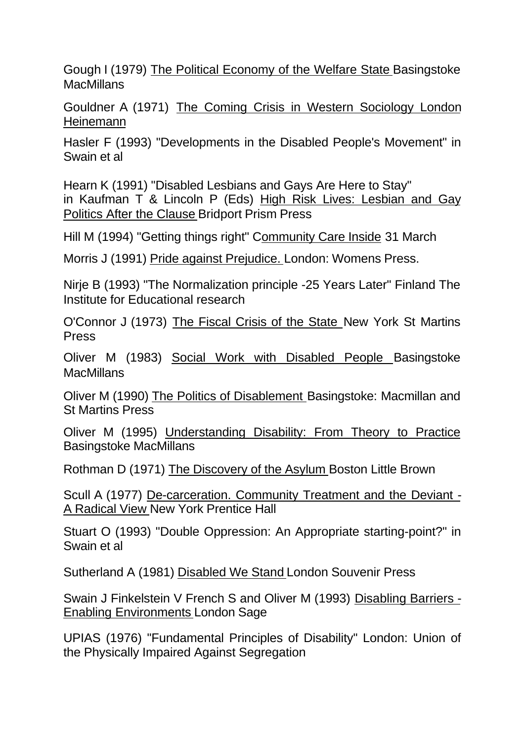Gough I (1979) The Political Economy of the Welfare State Basingstoke **MacMillans** 

Gouldner A (1971) The Coming Crisis in Western Sociology London **Heinemann** 

Hasler F (1993) "Developments in the Disabled People's Movement" in Swain et al

Hearn K (1991) "Disabled Lesbians and Gays Are Here to Stay" in Kaufman T & Lincoln P (Eds) High Risk Lives: Lesbian and Gay Politics After the Clause Bridport Prism Press

Hill M (1994) "Getting things right" Community Care Inside 31 March

Morris J (1991) Pride against Prejudice. London: Womens Press.

Nirje B (1993) "The Normalization principle -25 Years Later" Finland The Institute for Educational research

O'Connor J (1973) The Fiscal Crisis of the State New York St Martins Press

Oliver M (1983) Social Work with Disabled People Basingstoke **MacMillans** 

Oliver M (1990) The Politics of Disablement Basingstoke: Macmillan and St Martins Press

Oliver M (1995) Understanding Disability: From Theory to Practice Basingstoke MacMillans

Rothman D (1971) The Discovery of the Asylum Boston Little Brown

Scull A (1977) De-carceration. Community Treatment and the Deviant - A Radical View New York Prentice Hall

Stuart O (1993) "Double Oppression: An Appropriate starting-point?" in Swain et al

Sutherland A (1981) Disabled We Stand London Souvenir Press

Swain J Finkelstein V French S and Oliver M (1993) Disabling Barriers - Enabling Environments London Sage

UPIAS (1976) "Fundamental Principles of Disability" London: Union of the Physically Impaired Against Segregation